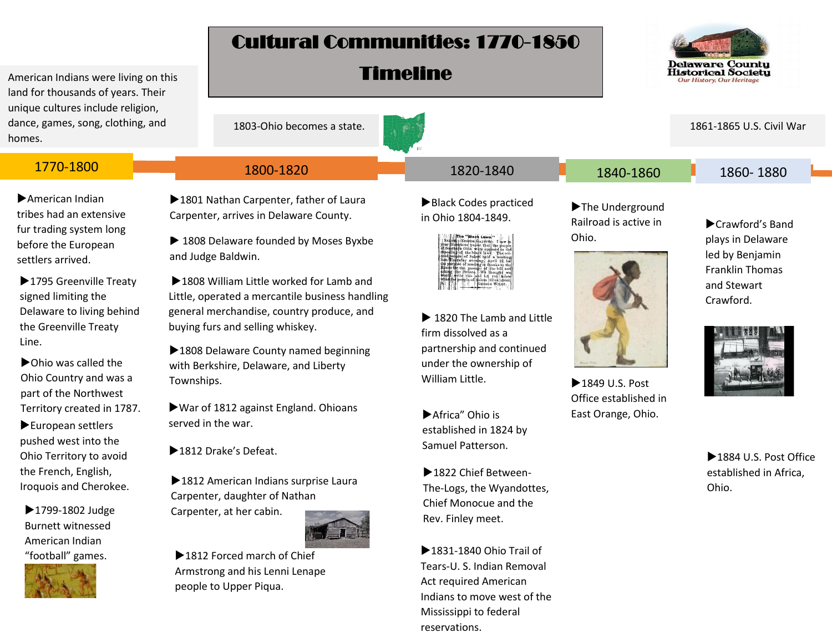## Cultural Communities: 1770-1850

Timeline



American Indians were living on this land for thousands of years. Their unique cultures include religion, dance, games, song, clothing, and homes.

American Indian tribes had an extensive fur trading system long before the European settlers arrived.

▶ 1795 Greenville Treaty signed limiting the Delaware to living behind the Greenville Treaty

▶ Ohio was called the Ohio Country and was a part of the Northwest Territory created in 1787.

European settlers pushed west into the Ohio Territory to avoid the French, English, Iroquois and Cherokee.

▶1799-1802 Judge Burnett witnessed American Indian "football" games.



| or thousands or vears. Their<br>e cultures include religion,                                      |                                                                                             |                                                                                                                                                                                                                                                                              |                                                   |                                                                                                               |
|---------------------------------------------------------------------------------------------------|---------------------------------------------------------------------------------------------|------------------------------------------------------------------------------------------------------------------------------------------------------------------------------------------------------------------------------------------------------------------------------|---------------------------------------------------|---------------------------------------------------------------------------------------------------------------|
| games, song, clothing, and<br>s.                                                                  | 1803-Ohio becomes a state.                                                                  |                                                                                                                                                                                                                                                                              |                                                   | 1861-1865 U.S. Civil War                                                                                      |
|                                                                                                   |                                                                                             |                                                                                                                                                                                                                                                                              |                                                   |                                                                                                               |
| 1770-1800                                                                                         | 1800-1820                                                                                   | 1820-1840                                                                                                                                                                                                                                                                    | 1840-1860                                         | 1860-1880                                                                                                     |
| merican Indian<br>es had an extensive<br>trading system long<br>ore the European<br>lers arrived. | 1801 Nathan Carpenter, father of Laura<br>Carpenter, arrives in Delaware County.            | Black Codes practiced<br>in Ohio 1804-1849.<br>SAFERI-EDITOR CRACK Laws."<br>SAFERI-EDITOR GAZETTE: I saw in your liustricus paper that the poople<br>of Southern Olio were opposed to the<br>of Southern Olio were opposed to the<br>repositing of the black laws. The col- | The Underground<br>Railroad is active in<br>Ohio. | Crawford's Band<br>plays in Delaware<br>led by Benjamin<br><b>Franklin Thomas</b><br>and Stewart<br>Crawford. |
|                                                                                                   | ▶ 1808 Delaware founded by Moses Byxbe<br>and Judge Baldwin.                                |                                                                                                                                                                                                                                                                              |                                                   |                                                                                                               |
| 795 Greenville Treaty<br>ned limiting the                                                         | ▶1808 William Little worked for Lamb and<br>Little, operated a mercantile business handling |                                                                                                                                                                                                                                                                              |                                                   |                                                                                                               |

general merchandise, country produce, and buying furs and selling whiskey.

Line. 1808 Delaware County named beginning with Berkshire, Delaware, and Liberty Townships.

> War of 1812 against England. Ohioans served in the war.

▶1812 Drake's Defeat.

▶ 1812 American Indians surprise Laura Carpenter, daughter of Nathan Carpenter, at her cabin.



▶ 1812 Forced march of Chief Armstrong and his Lenni Lenape people to Upper Piqua.

▶ 1820 The Lamb and Little firm dissolved as a

partnership and continued under the ownership of William Little.

▶1849 U.S. Post Office established in East Orange, Ohio.

Africa" Ohio is established in 1824 by Samuel Patterson.

▶1822 Chief Between-The-Logs, the Wyandottes, Chief Monocue and the Rev. Finley meet.

▶ 1831-1840 Ohio Trail of Tears-U. S. Indian Removal Act required American Indians to move west of the Mississippi to federal reservations.



▶1884 U.S. Post Office established in Africa, Ohio.